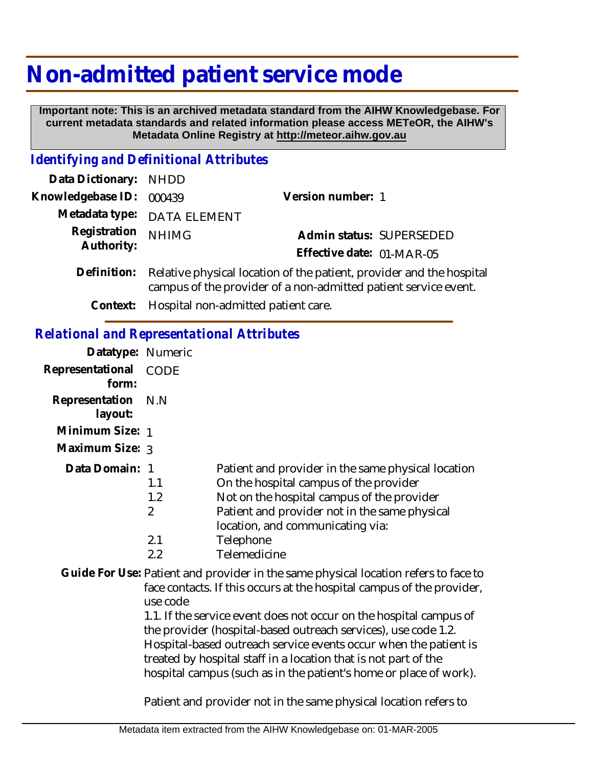# **Non-admitted patient service mode**

 **Important note: This is an archived metadata standard from the AIHW Knowledgebase. For current metadata standards and related information please access METeOR, the AIHW's Metadata Online Registry at http://meteor.aihw.gov.au**

#### *Identifying and Definitional Attributes*

| Data Dictionary: NHDD    |                                                                            |                           |                          |
|--------------------------|----------------------------------------------------------------------------|---------------------------|--------------------------|
| Knowledgebase ID: 000439 |                                                                            | Version number: 1         |                          |
|                          | Metadata type: DATA ELEMENT                                                |                           |                          |
| Registration NHIMG       |                                                                            |                           | Admin status: SUPERSEDED |
| Authority:               |                                                                            | Effective date: 01-MAR-05 |                          |
|                          | Definition: Relative physical location of the patient provider and the bos |                           |                          |

- Definition: Relative physical location of the patient, provider and the hospital campus of the provider of a non-admitted patient service event.
	- **Context:** Hospital non-admitted patient care.

#### *Relational and Representational Attributes*

| Datatype: Numeric         |                              |                                                                                                                                                                                                                                 |
|---------------------------|------------------------------|---------------------------------------------------------------------------------------------------------------------------------------------------------------------------------------------------------------------------------|
| Representational<br>form: | CODE                         |                                                                                                                                                                                                                                 |
| Representation<br>layout: | N.N                          |                                                                                                                                                                                                                                 |
| Minimum Size: 1           |                              |                                                                                                                                                                                                                                 |
| Maximum Size: 3           |                              |                                                                                                                                                                                                                                 |
| Data Domain: 1            | 1.1<br>1.2<br>$\overline{2}$ | Patient and provider in the same physical location<br>On the hospital campus of the provider<br>Not on the hospital campus of the provider<br>Patient and provider not in the same physical<br>location, and communicating via: |
|                           | 2.1<br>2.2                   | Telephone<br>Telemedicine                                                                                                                                                                                                       |

Guide For Use: Patient and provider in the same physical location refers to face to face contacts. If this occurs at the hospital campus of the provider, use code

> 1.1. If the service event does not occur on the hospital campus of the provider (hospital-based outreach services), use code 1.2. Hospital-based outreach service events occur when the patient is treated by hospital staff in a location that is not part of the hospital campus (such as in the patient's home or place of work).

Patient and provider not in the same physical location refers to